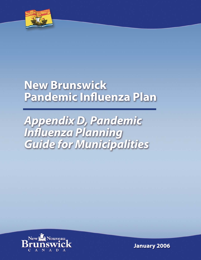

# **New Brunswick Pandemic Influenza Plan**

Appendix D, Pandemic<br>Influenza Planning Guide for Municipalities



**January 2006**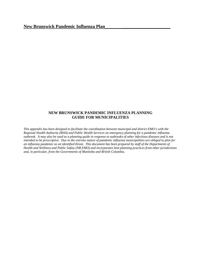#### **NEW BRUNSWICK PANDEMIC INFLUENZA PLANNING GUIDE FOR MUNICIPALITIES**

*This appendix has been designed to facilitate the coordination between municipal and district EMO's with the Regional Health Authority (RHA) and Public Health Services on emergency planning for a pandemic influenza outbreak. It may also be used as a planning guide in response to outbreaks of other infectious diseases and is not intended to be prescriptive. Due to the extreme nature of pandemic influenza municipalities are obliged to plan for an influenza pandemic as an identified threat. This document has been prepared by staff of the Departments of Health and Wellness and Public Safety (NB EMO) and incorporates best planning practices from other jurisdictions and, in particular, from the Governments of Manitoba and British Columbia.*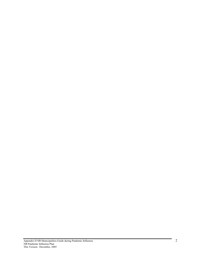2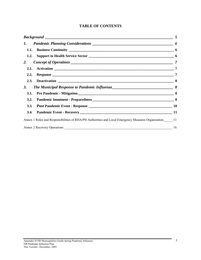| $\mathbf{I}$ .                                                                                        |  |
|-------------------------------------------------------------------------------------------------------|--|
| 1.1.                                                                                                  |  |
| 1.2.                                                                                                  |  |
| 2.                                                                                                    |  |
| 2.1.                                                                                                  |  |
| 2.2.                                                                                                  |  |
| 2.3.                                                                                                  |  |
| 3.                                                                                                    |  |
| 3.1.                                                                                                  |  |
| 3.2.                                                                                                  |  |
| 3.3.                                                                                                  |  |
| 3.4.                                                                                                  |  |
| Annex 1 Roles and Responsibilities of RHA/PH Authorities and Local Emergency Measures Organization 13 |  |
| Annex 2 Recovery Operations 16                                                                        |  |

## **TABLE OF CONTENTS**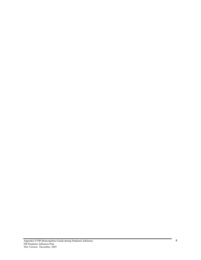4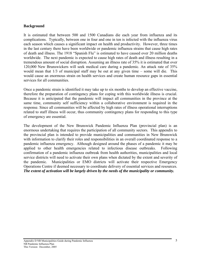#### **Background**

It is estimated that between 500 and 1500 Canadians die each year from influenza and its complications. Typically, between one in four and one in ten is infected with the influenza virus each season which causes a significant impact on health and productivity. However, three times in the last century there have been worldwide or pandemic influenza strains that cause high rates of death and illness. The 1918 "Spanish Flu" is estimated to have caused over 20 million deaths worldwide. The next pandemic is expected to cause high rates of death and illness resulting in a tremendous amount of social disruption. Assuming an illness rate of 35% it is estimated that over 120,000 New Brunswickers will seek medical care during a pandemic. An attack rate of 35% would mean that 1/3 of municipal staff may be out at any given time – some will die. This would cause an enormous strain on health services and create human resource gaps in essential services for all communities.

Once a pandemic strain is identified it may take up to six months to develop an effective vaccine, therefore the preparation of contingency plans for coping with this worldwide illness is crucial. Because it is anticipated that the pandemic will impact all communities in the province at the same time, community self sufficiency within a collaborative environment is required in the response. Since all communities will be affected by high rates of illness operational interruptions related to staff illness will occur, thus community contingency plans for responding to this type of emergency are essential.

The development of the New Brunswick Pandemic Influenza Plan (provincial plan) is an enormous undertaking that requires the participation of all community sectors. This appendix to the provincial plan is intended to provide municipalities and communities in New Brunswick with information to clarify their roles and responsibilities in an overall coordinated response to a pandemic influenza emergency. Although designed around the phases of a pandemic it may be applied to other health emergencies related to infectious disease outbreaks. Following confirmation of a pandemic influenza outbreak from health authorities, municipalities and local service districts will need to activate their own plans when dictated by the extent and severity of the pandemic. Municipalities or EMO districts will activate their respective Emergency Operations Centre if deemed necessary to coordinate delivery of essential services and resources. *The extent of activation will be largely driven by the needs of the municipality or community.*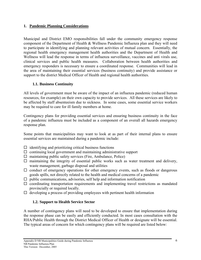#### **1. Pandemic Planning Considerations**

Municipal and District EMO responsibilities fall under the community emergency response component of the Department of Health & Wellness Pandemic Influenza plan and they will need to participate in identifying and planning relevant activities of mutual concern. Essentially, the regional health emergency management health authorities and the Department of Health and Wellness will lead the response in terms of influenza surveillance, vaccines and anti virals use, clinical services and public health measures. Collaboration between health authorities and emergency responders is necessary to ensure a coordinated response. Communities will lead in the area of maintaining their essential services (business continuity) and provide assistance or support to the district Medical Officer of Health and regional health authorities.

# **1.1. Business Continuity**

All levels of government must be aware of the impact of an influenza pandemic (reduced human resources, for example) on their own capacity to provide services. All these services are likely to be affected by staff absenteeism due to sickness. In some cases, some essential service workers may be required to care for ill family members at home.

Contingency plans for providing essential services and ensuring business continuity in the face of a pandemic influenza must be included as a component of an overall all hazards emergency response plan.

Some points that municipalities may want to look at as part of their internal plans to ensure essential services are maintained during a pandemic include:

- $\Box$  identifying and prioritizing critical business functions
- $\Box$  continuing local government and maintaining administrative support
- $\Box$  maintaining public safety services (Fire, Ambulance, Police)
- $\Box$  maintaining the integrity of essential public works such as water treatment and delivery, waste management, garbage disposal and utilities
- $\Box$  conduct of emergency operations for other emergency events, such as floods or dangerous goods spills, not directly related to the health and medical concerns of a pandemic
- $\Box$  public communications, advisories, self help and information notification
- $\Box$  coordinating transportation requirements and implementing travel restrictions as mandated provincially or required locally.
- $\Box$  developing a process of providing employees with pertinent health information

# **1.2. Support to Health Service Sector**

A number of contingency plans will need to be developed to ensure that implementation during the response phase can be easily and efficiently conducted. In most cases consultation with the RHA/Public Health through the District Medical Officer of Health or designate will be essential. The typical areas of concern for which contingency plans will be required are listed below: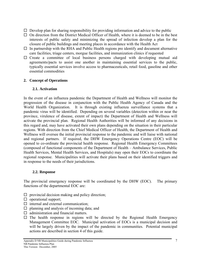- $\Box$  Develop plan for sharing responsibility for providing information and advice to the public
- $\Box$  On direction from the District Medical Officer of Health, where it is deemed to be in the best interests of public safety and minimizing the spread of infection develop a plan for the closure of public buildings and meeting places in accordance with the Health Act
- $\Box$  In partnership with the RHA and Public Health regions pre identify and document alternative care facilities, triage centers, morgue facilities, and immunization clinics if requested
- $\square$  Create a committee of local business persons charged with developing mutual aid agreements/pacts to assist one another in maintaining essential services to the public, typically essential services involve access to pharmaceuticals, retail food, gasoline and other essential commodities

#### **2. Concept of Operations**

#### **2.1. Activation**

In the event of an influenza pandemic the Department of Health and Wellness will monitor the progression of the disease in conjunction with the Public Health Agency of Canada and the World Health Organization. It is through existing influenza surveillance systems that a pandemic virus will be identified. Depending on several variables (detection within or near the province, virulence of disease, extent of impact) the Department of Health and Wellness will activate the provincial plan. Regional Health Authorities will be informed of any decisions in this regard and, may have activated their own plans depending on the situation in their particular regions. With direction from the Chief Medical Officer of Health, the Department of Health and Wellness will oversee the initial provincial response to the pandemic and will liaise with national and regional partners. If required, the DHW Emergency Operations Centre (EOC) will be opened to co-ordinate the provincial health response. Regional Health Emergency Committees (composed of functional components of the Department of Health – Ambulance Services, Public Health Services, Mental Health Services, and Hospitals) may open their EOCs to coordinate the regional response. Municipalities will activate their plans based on their identified triggers and in response to the needs of their jurisdictions.

#### **2.2. Response**

The provincial emergency response will be coordinated by the DHW (EOC). The primary functions of the departmental EOC are:

- $\Box$  provincial decision making and policy direction;
- $\Box$  operational support;
- $\Box$  internal and external communication;
- $\Box$  planning and analysis of incoming data; and
- $\Box$  administration and financial matters.
- $\Box$  The health response in regions will be directed by the Regional Health Emergency Management Committee EOC. Municipal activation of EOCs is a municipal decision and will be largely driven by the impact of the pandemic in communities. Potential municipal actions are described in section 4 of this guide.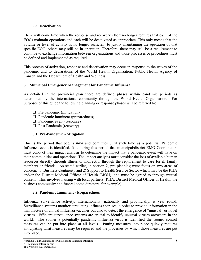## **2.3. Deactivation**

There will come time when the response and recovery effort no longer requires that each of the EOCs maintain operations and each will be deactivated as appropriate. This only means that the volume or level of activity is no longer sufficient to justify maintaining the operation of that specific EOC, others may still be in operation. Therefore, there may still be a requirement to continue to exchange information between organizations and those processes or procedures must be defined and implemented as required.

This process of activation, response and deactivation may occur in response to the waves of the pandemic and to declarations of the World Health Organization, Public Health Agency of Canada and the Department of Health and Wellness.

# **3. Municipal Emergency Management for Pandemic Influenza**

As detailed in the provincial plan there are defined phases within pandemic periods as determined by the international community through the World Health Organization. For purposes of this guide the following planning or response phases will be referred to:

- $\Box$  Pre pandemic (mitigation)
- $\Box$  Pandemic imminent (preparedness)
- $\Box$  Pandemic event (response)
- $\Box$  Post Pandemic (recovery)

# **3.1. Pre-Pandemic - Mitigation**

This is the period that begins **now** and continues until such time as a potential Pandemic Influenza event is identified. It is during this period that municipal/district EMO Coordinators must conduct their impact analysis to determine the impact that a pandemic event will have on their communities and operations. The impact analysis must consider the loss of available human resources directly through illness or indirectly, through the requirement to care for ill family members or friends. As stated earlier, in section 2, pre planning must focus on two areas of concern: 1) Business Continuity and 2) Support to Health Service Sector which may be the RHA and/or the District Medical Officer of Health (MOH), and must be agreed to through mutual consent. This involves liaising with local partners (RHA, District Medical Officer of Health, the business community and funeral home directors, for example).

# **3.2. Pandemic Imminent - Preparedness**

Influenza surveillance activity, internationally, nationally and provincially, is year round. Surveillance systems monitor circulating influenza viruses in order to provide information in the manufacture of annual influenza vaccines but also to detect the emergence of "unusual" or novel viruses. Efficient surveillance systems are crucial to identify unusual viruses anywhere in the world. The sooner a potentially pandemic influenza virus is identified the sooner control measures can be put into place at all levels. Putting measures into place quickly requires anticipating what measures may be required and the processes by which those measures are put into place.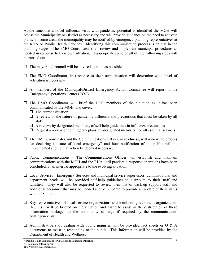At the time that a novel influenza virus with pandemic potential is identified the MOH will advise the Municipality or District as necessary and will provide guidance on the need to activate plans. In some areas the municipality may be notified by emergency planning representatives at the RHA or Public Health Services. Identifying this communication process is crucial in the planning stages. The EMO Coordinator shall review and implement municipal procedures as needed in response to their own situation. If appropriate some or all of the following steps will be carried out:

- $\Box$  The mayor and council will be advised as soon as possible.
- $\square$  The EMO Coordinator, in response to their own situation will determine what level of activation is necessary
- $\Box$  All members of the Municipal/District Emergency Action Committee will report to the Emergency Operations Center (EOC).
- $\square$  The EMO Coordinator will brief the EOC members of the situation as it has been communicated by the MOH and cover:
	- $\Box$  The current situation
	- $\Box$  A review of the nature of pandemic influenza and precautions that must be taken by all staff
	- $\Box$  A review, by designated members, of self help guidelines in influenza precautions
	- $\Box$  Request a review of contingency plans, by designated members, for all essential services
- $\Box$  The EMO Coordinator and the Communications Officer, in readiness, will review the process for declaring a "state of local emergency" and how notification of the public will be implemented should that action be deemed necessary.
- $\Box$  Public Communications The Communications Officer will establish and maintain communications with the MOH and the RHA until pandemic response operations have been concluded, at an interval appropriate to the evolving situation.
- $\square$  Local Services Emergency Services and municipal service supervisors, administrators, and department heads will be provided self-help guidelines to distribute to their staff and families. They will also be requested to review their list of back-up support staff and additional personnel that may be needed and be prepared to provide an update of their status within 48 hours.
- $\Box$  Key representatives of local service organizations and local non government organizations (NGO's) will be briefed on the situation and asked to assist in the distribution of these information packages to the community at large if required by the communications contingency plan
- $\Box$  Administrative staff dealing with public inquiries will be provided fact sheets or Q & A documents to assist in responding to the public. This information will be provided by the Department of Health and Wellness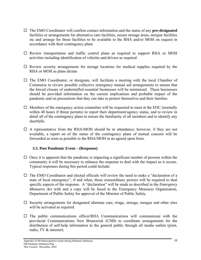- The EMO Coordinator will confirm contact information and the status of any **pre-designated** facilities or arrangements for alternative care facilities, secure storage areas, morgue facilities etc and arrange for those facilities to be available to the RHA and/or MOH on request in accordance with their contingency plans
- $\square$  Review transportation and traffic control plans as required to support RHA or MOH activities including identification of vehicles and drivers as required
- $\Box$  Review security arrangements for storage locations for medical supplies required by the RHA or MOH as plans dictate
- $\Box$  The EMO Coordinator, or designate, will facilitate a meeting with the local Chamber of Commerce to review possible collective emergency mutual aid arrangements to ensure that the forced closure of understaffed essential businesses will be minimized. These businesses should be provided information on the current implications and probable impact of the pandemic and on precautions that they can take to protect themselves and their families.
- $\Box$  Members of the emergency action committee will be requested to meet at the EOC (normally within 48 hours if threat permits) to report their department/agency status, and to review in detail all of the contingency plans to ensure the familiarity of all members and to identify any shortfalls.
- $\Box$  A representative from the RHA/MOH should be in attendance; however, if they are not available, a report on of the status of the contingency plans of mutual concern will be forwarded as soon as possible to the RHA/MOH in an agreed upon form.

#### **3.3. Post Pandemic Event – (Response)**

- $\Box$  Once it is apparent that the pandemic is impacting a significant number of persons within the community it will be necessary to enhance the response to deal with the impact as it occurs. Typical responses during this period could include:
- $\Box$  The EMO Coordinator and elected officials will review the need to make a "declaration of a state of local emergency", if and when, those extraordinary powers will be required to deal specific aspects of the response. A "declaration" will be made as described in the *Emergency Measures Act* with and a copy will be faxed to the Emergency Measures Organization, Department of Public Safety for approval of the Minister of Public Safety.
- $\Box$  Security arrangements for designated alternate care, triage, storage, morgue and other sites will be activated as required.
- $\Box$  The public communications officer/RHA Communications will communicate with the provincial Communications New Brunswick (CNB) to coordinate arrangements for the distribution of self-help information to the general public through all media outlets (print, radio, TV & internet).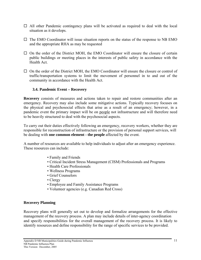- $\Box$  All other Pandemic contingency plans will be activated as required to deal with the local situation as it develops.
- $\Box$  The EMO Coordinator will issue situation reports on the status of the response to NB EMO and the appropriate RHA as may be requested
- $\square$  On the order of the District MOH, the EMO Coordinator will ensure the closure of certain public buildings or meeting places in the interests of public safety in accordance with the Health Act.
- $\Box$  On the order of the District MOH, the EMO Coordinator will ensure the closure or control of traffic/transportation systems to limit the movement of personnel in to and out of the community in accordance with the Health Act.

#### **3.4. Pandemic Event – Recovery**

**Recovery** consists of measures and actions taken to repair and restore communities after an emergency. Recovery may also include some mitigative actions. Typically recovery focuses on the physical and psychosocial effects that arise as a result of an emergency; however, in a pandemic event the primary impact will be on people not infrastructure and will therefore need to be heavily structured to deal with the psychosocial aspects.

To carry out their duties effectively following an emergency, recovery workers, whether they are responsible for reconstruction of infrastructure or the provision of personal support services, will be dealing with **one common element - the people** affected by the event.

A number of resources are available to help individuals to adjust after an emergency experience. These resources can include:

- Family and Friends
- Critical Incident Stress Management (CISM) Professionals and Programs
- Health Care Professionals
- Wellness Programs
- Grief Counselors
- Clergy
- Employee and Family Assistance Programs
- Volunteer agencies (e.g. Canadian Red Cross)

#### **Recovery Planning**

Recovery plans will generally set out to develop and formalize arrangements for the effective management of the recovery process. A plan may include details of inter-agency coordination and specify responsibilities for the overall management of the recovery process. It is likely to identify resources and define responsibility for the range of specific services to be provided.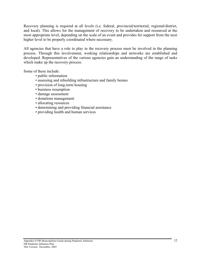Recovery planning is required at all levels (i.e. federal, provincial/territorial, regional/district, and local). This allows for the management of recovery to be undertaken and resourced at the most appropriate level, depending on the scale of an event and provides for support from the next higher level to be properly coordinated where necessary.

All agencies that have a role to play in the recovery process must be involved in the planning process. Through this involvement, working relationships and networks are established and developed. Representatives of the various agencies gain an understanding of the range of tasks which make up the recovery process.

Some of these include:

- public information
- assessing and rebuilding infrastructure and family homes
- provision of long-term housing
- business resumption
- damage assessment
- donations management
- allocating resources
- determining and providing financial assistance
- providing health and human services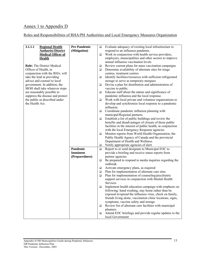# Annex 1 to Appendix D

# Roles and Responsibilities of RHA/PH Authorities and Local Emergency Measures Organization

| 3.1.1.1                                                        | <b>Regional Health</b>            | <b>Pre Pandemic</b> | $\Box$                                                   | Evaluate adequacy of existing local infrastructure to       |  |
|----------------------------------------------------------------|-----------------------------------|---------------------|----------------------------------------------------------|-------------------------------------------------------------|--|
|                                                                | <b>Authority/District</b>         | (Mitigation)        |                                                          | respond to an influenza pandemic.                           |  |
|                                                                | <b>Medical Officer of</b>         |                     | $\Box$                                                   | Work in conjunction with health service providers,          |  |
|                                                                | <b>Health</b>                     |                     |                                                          | employers, municipalities and other sectors to improve      |  |
|                                                                |                                   |                     |                                                          | annual influenza vaccination levels                         |  |
|                                                                | <b>Role:</b> The District Medical |                     | $\Box$                                                   | Review current plans for mass vaccination campaigns         |  |
|                                                                | Officer of Health, in             |                     | □                                                        | Determine availability of alternate sites for triage        |  |
|                                                                | conjunction with the RHA, will    |                     |                                                          | centres, treatment centres                                  |  |
|                                                                | take the lead in providing        |                     | $\Box$                                                   | Identify facilities/resources with sufficient refrigerated  |  |
|                                                                | advice and counsel to local       |                     |                                                          | storage to serve as temporary morgues                       |  |
| government. In addition, the                                   |                                   |                     | □                                                        | Devise a plan for distribution and administration of        |  |
| MOH shall take whatever steps                                  |                                   |                     |                                                          | vaccine to public.                                          |  |
|                                                                |                                   |                     | $\Box$                                                   | Educate staff about the nature and significance of          |  |
| are reasonably possible to<br>suppress the disease and protect |                                   |                     |                                                          | pandemic influenza and the local response.                  |  |
|                                                                |                                   |                     |                                                          | Work with local private and volunteer organizations to      |  |
|                                                                | the public as described under     |                     | $\Box$                                                   |                                                             |  |
| the Health Act.                                                |                                   |                     |                                                          | develop and synchronize local response to a pandemic        |  |
|                                                                |                                   |                     |                                                          | influenza.                                                  |  |
|                                                                |                                   |                     | $\Box$                                                   | Coordinate pandemic influenza planning with                 |  |
|                                                                |                                   |                     |                                                          | municipal/Regional partners.                                |  |
|                                                                |                                   |                     | Establish a list of public buildings and review the<br>□ |                                                             |  |
|                                                                |                                   |                     |                                                          | benefits and disadvantages of closure of those public       |  |
|                                                                |                                   |                     |                                                          | facilities in the interest of public health, in conjunction |  |
|                                                                |                                   |                     |                                                          | with the local Emergency Response agencies                  |  |
|                                                                |                                   |                     | $\Box$                                                   | Monitor reports from World Health Organization, the         |  |
|                                                                |                                   |                     |                                                          | Public Health Agency of Canada and the provincial           |  |
|                                                                |                                   |                     |                                                          | Department of Health and Wellness                           |  |
|                                                                |                                   |                     | $\Box$                                                   | Notify appropriate agencies of alert                        |  |
|                                                                |                                   | Pandemic            | $\Box$                                                   | Report to or send designate to Municipal EOC to             |  |
|                                                                |                                   | <b>Imminent</b>     |                                                          | provide a briefing and receive status reports from          |  |
|                                                                |                                   | (Preparedness)      |                                                          | partner agencies                                            |  |
|                                                                |                                   |                     | $\Box$                                                   | Be prepared to respond to media inquiries regarding the     |  |
|                                                                |                                   |                     |                                                          | outbreak                                                    |  |
|                                                                |                                   |                     | $\Box$                                                   | Activate emergency plans, as required                       |  |
|                                                                |                                   |                     | □                                                        | Plan for implementation of alternate care sites             |  |
|                                                                |                                   |                     | □                                                        | Plan for implementation of counseling/psychiatric           |  |
|                                                                |                                   |                     |                                                          | support services in conjunction with Mental Health          |  |
|                                                                |                                   |                     |                                                          | Services                                                    |  |
|                                                                |                                   |                     | $\Box$                                                   | Implement health education campaign with emphasis on        |  |
|                                                                |                                   |                     |                                                          | following: hand washing, stay home rather than be           |  |
|                                                                |                                   |                     |                                                          | exposed to/spread the influenza virus, check on family,     |  |
|                                                                |                                   |                     |                                                          | friends living alone, vaccination clinic locations, signs,  |  |
|                                                                |                                   |                     |                                                          | symptoms, vaccine safety and storage                        |  |
|                                                                |                                   |                     | □                                                        | Review list of alternate care facilities with municipal     |  |
|                                                                |                                   |                     | planners                                                 |                                                             |  |
|                                                                |                                   |                     |                                                          | Attend EOC briefings and provide regular updates to the     |  |
|                                                                |                                   |                     | $\Box$                                                   |                                                             |  |
|                                                                |                                   |                     |                                                          | local Government                                            |  |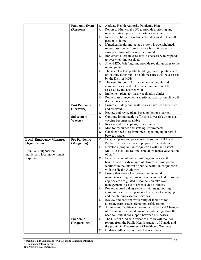|                                 | <b>Pandemic Event</b>                                      | $\Box$                                            | Activate Health Authority Pandemic Plan                                                           |
|---------------------------------|------------------------------------------------------------|---------------------------------------------------|---------------------------------------------------------------------------------------------------|
|                                 | (Response)                                                 | $\Box$                                            | Report to Municipal EOC to provide a briefing and                                                 |
|                                 |                                                            |                                                   | receive status reports from partner agencies                                                      |
|                                 |                                                            | $\Box$                                            | Increase public information effort designed to keep ill                                           |
|                                 |                                                            |                                                   | persons at home                                                                                   |
|                                 |                                                            | $\Box$                                            | If medical/health mutual aid system is overwhelmed,                                               |
|                                 |                                                            |                                                   | request assistance from Province but anticipate that                                              |
|                                 |                                                            |                                                   | assistance from others may be limited                                                             |
|                                 |                                                            | $\Box$                                            | Implement alternate care sites, as necessary to respond                                           |
|                                 |                                                            |                                                   | to overwhelming caseload.                                                                         |
|                                 |                                                            | $\Box$                                            | Attend EOC briefings and provide regular updates to the                                           |
|                                 |                                                            |                                                   | municipality                                                                                      |
|                                 |                                                            | $\Box$                                            | The need to close public buildings, cancel public events                                          |
|                                 |                                                            |                                                   | or institute other public health measures will be assessed                                        |
|                                 |                                                            |                                                   | by the District MOH                                                                               |
|                                 |                                                            | $\Box$                                            | The need for control of movement of people and                                                    |
|                                 |                                                            |                                                   | commodities in and out of the community will be                                                   |
|                                 |                                                            |                                                   | assessed by the District MOH                                                                      |
|                                 |                                                            | $\Box$                                            | Implement plans for mass vaccination clinics                                                      |
|                                 |                                                            | $\Box$                                            | Request assistance with security at vaccination clinics if                                        |
|                                 |                                                            |                                                   | deemed necessary                                                                                  |
|                                 | <b>Post Pandemic</b>                                       | $\Box$                                            | Ensure all safety and health issues have been identified                                          |
|                                 |                                                            | and resolved                                      |                                                                                                   |
|                                 | (Recovery)                                                 |                                                   |                                                                                                   |
|                                 | Review and revise plans based on lessons learned<br>$\Box$ |                                                   | Continue immunization efforts in lower risk groups, as                                            |
|                                 | Subsequent                                                 | $\Box$                                            | vaccine becomes available                                                                         |
|                                 | Wave(s)                                                    |                                                   |                                                                                                   |
|                                 |                                                            | $\Box$                                            | Review and revise plans, as necessary                                                             |
|                                 |                                                            | $\Box$                                            | Monitor resources and staffing requirements<br>Consider need to re-immunize depending upon period |
|                                 |                                                            | $\Box$                                            | between waves                                                                                     |
| <b>Local Emergency Measures</b> | <b>Pre Pandemic</b>                                        |                                                   | Establish plans and procedures to support RHA and                                                 |
| Organization                    | (Mitigation)                                               | $\Box$                                            | Public Health initiatives to prepare for a pandemic.                                              |
|                                 |                                                            | $\Box$                                            | Develop a program, in conjunction with the District                                               |
| Role: Will support the          |                                                            |                                                   | MOH, to facilitate routine, annual influenza vaccination                                          |
| municipal / local government    |                                                            |                                                   | of staff                                                                                          |
| response.                       |                                                            | $\Box$                                            | Establish a list of public buildings and review the                                               |
|                                 |                                                            |                                                   | benefits and disadvantages of closure of those public                                             |
|                                 |                                                            |                                                   | facilities in the interest of public health, in conjunction                                       |
|                                 |                                                            |                                                   | with the Health Authority                                                                         |
| □                               |                                                            | Ensure that areas of responsibility essential for |                                                                                                   |
|                                 |                                                            |                                                   | maintenance of government have been backed up so that                                             |
|                                 |                                                            |                                                   | appropriate designated personnel can take over                                                    |
|                                 |                                                            |                                                   | management in case of absence due to illness.                                                     |
|                                 |                                                            | $\Box$                                            | Review mutual aid agreements with neighbouring                                                    |
|                                 |                                                            |                                                   | communities to share personnel capable of managing                                                |
|                                 |                                                            |                                                   | and maintaining essential services.                                                               |
|                                 |                                                            | $\Box$                                            | Review and confirm availability of facilities for                                                 |
|                                 |                                                            |                                                   | alternate care, triage, cremation, refrigeration                                                  |
|                                 |                                                            | $\Box$                                            | Arrange and facilitate a meeting with the local Chamber                                           |
|                                 |                                                            |                                                   | of Commerce and local business leaders regarding the                                              |
|                                 |                                                            |                                                   | need for mutual aid support between businesses.                                                   |
|                                 | Pandemic                                                   | $\Box$                                            | The District Medical Officer of Health will monitor                                               |
|                                 | (Preparedness)                                             |                                                   | reports from the Public Health Agency of Canada and                                               |
|                                 |                                                            |                                                   | the provincial Department of Health and Wellness                                                  |
|                                 |                                                            | $\Box$                                            | Updates will be given to staff as necessary.                                                      |
|                                 |                                                            |                                                   |                                                                                                   |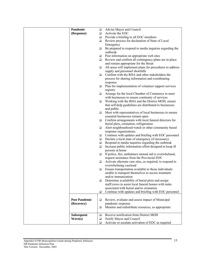| Pandemic             | ❏      | Advise Mayor and Council                                          |
|----------------------|--------|-------------------------------------------------------------------|
| (Response)           | $\Box$ | Activate the EOC                                                  |
|                      | □      | Provide a briefing to all EOC members                             |
|                      | ❏      | Review process for declaration of State of Local                  |
|                      |        | Emergency                                                         |
|                      | ❏      | Be prepared to respond to media inquiries regarding the           |
|                      |        | outbreak                                                          |
|                      | $\Box$ | Post information on appropriate web sites                         |
|                      | $\Box$ | Review and confirm all contingency plans are in place             |
|                      |        | and remain appropriate for the threat                             |
|                      | $\Box$ | All areas will implement plans for procedures to address          |
|                      |        | supply and personnel shortfalls                                   |
|                      | $\Box$ | Confirm with the RHA and other stakeholders the                   |
|                      |        | process for sharing information and coordinating                  |
|                      |        |                                                                   |
|                      | ❏      | response<br>Plan for implementation of volunteer support services |
|                      |        |                                                                   |
|                      |        | registry                                                          |
|                      | □      | Arrange for the local Chamber of Commerce to meet                 |
|                      |        | with businesses to ensure continuity of services                  |
|                      | □      | Working with the RHA and the District MOH, ensure                 |
|                      |        | that self-help guidelines are distributed to businesses           |
|                      |        | and public                                                        |
|                      | □      | Meet with representatives of local businesses to ensure           |
|                      |        | essential businesses remain open                                  |
|                      | □      | Confirm arrangements with local funeral directors for             |
|                      |        | burial plots, cremation, refrigeration                            |
|                      | $\Box$ | Alert neighbourhood-watch or other community based                |
|                      |        | response organizations.                                           |
|                      | ❏      | Continue with updates and briefing with EOC personnel             |
|                      | □      | Declare a local state of emergency (if necessary)                 |
|                      | ❏      | Respond to media inquiries regarding the outbreak                 |
|                      | □      | Increase public information effort designed to keep ill           |
|                      |        | persons at home                                                   |
|                      | □      | If police, fire, ambulance mutual aid is overwhelmed,             |
|                      |        | request assistance from the Provincial EOC                        |
|                      | ❏      | Activate alternate care sites, as required, to respond to         |
|                      |        | overwhelming caseload                                             |
|                      | ❏      | Ensure transportation available to those individuals              |
|                      |        | unable to transport themselves to access treatment                |
|                      |        | and/or immunization                                               |
|                      | ❏      | Determine availability of burial plots and assign                 |
|                      |        | staff/crews to assist local funeral homes with tasks              |
|                      |        | associated with burial and/or cremation                           |
|                      | $\Box$ | Continue with updates and briefing with EOC personnel             |
|                      |        |                                                                   |
| <b>Post Pandemic</b> | $\Box$ | Review, evaluate and assess impact of Municipal                   |
| (Recovery)           |        | pandemic response                                                 |
|                      | $\Box$ | Monitor and redistribute resources, as appropriate                |
| Subsequent           | $\Box$ | Receive notification from District MOH                            |
| Wave(s)              |        | Notify Mayor and Council                                          |
|                      | $\Box$ | Activate or escalate activation of EOC as required                |
|                      | $\Box$ |                                                                   |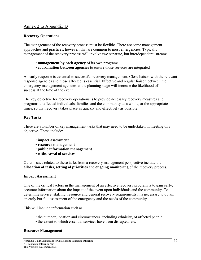# Annex 2 to Appendix D

#### **Recovery Operations**

The management of the recovery process must be flexible. There are some management approaches and practices; however, that are common to most emergencies. Typically, management of the recovery process will involve two separate, but interdependent, streams:

- **management by each agency** of its own programs
- **coordination between agencies** to ensure those services are integrated

An early response is essential to successful recovery management. Close liaison with the relevant response agencies and those affected is essential. Effective and regular liaison between the emergency management agencies at the planning stage will increase the likelihood of success at the time of the event.

The key objective for recovery operations is to provide necessary recovery measures and programs to affected individuals, families and the community as a whole, at the appropriate times, so that recovery takes place as quickly and effectively as possible.

#### **Key Tasks**

There are a number of key management tasks that may need to be undertaken in meeting this objective. These include:

- **impact assessment**
- **resource management**
- **public information management**
- **withdrawal of services**

Other issues related to these tasks from a recovery management perspective include the **allocation of tasks**, **setting of priorities** and **ongoing monitoring** of the recovery process.

#### **Impact Assessment**

One of the critical factors in the management of an effective recovery program is to gain early, accurate information about the impact of the event upon individuals and the community. To determine service, staffing, resource and general recovery requirements it is necessary to obtain an early but full assessment of the emergency and the needs of the community.

This will include information such as:

- the number, location and circumstances, including ethnicity, of affected people
- the extent to which essential services have been disrupted, etc.

#### **Resource Management**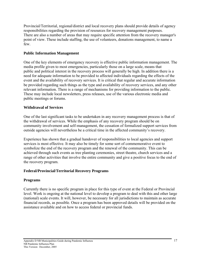Provincial/Territorial, regional/district and local recovery plans should provide details of agency responsibilities regarding the provision of resources for recovery management purposes. There are also a number of areas that may require specific attention from the recovery manager's point of view. These include staffing, the use of volunteers, donations management, to name a few.

#### **Public Information Management**

One of the key elements of emergency recovery is effective public information management. The media profile given to most emergencies, particularly those on a large scale, means that public and political interest in the recovery process will generally be high. In addition there is a need for adequate information to be provided to affected individuals regarding the effects of the event and the availability of recovery services. It is critical that regular and accurate information be provided regarding such things as the type and availability of recovery services, and any other relevant information. There is a range of mechanisms for providing information to the public. These may include local newsletters, press releases, use of the various electronic media and public meetings or forums.

#### **Withdrawal of Services**

One of the last significant tasks to be undertaken in any recovery management process is that of the withdrawal of services. While the emphasis of any recovery program should be on community involvement and self-management, the cessation of formalized support services from outside agencies will nevertheless be a critical time in the affected community's recovery.

Experience has shown that a gradual handover of responsibilities to local agencies and support services is most effective. It may also be timely for some sort of commemorative event to symbolize the end of the recovery program and the renewal of the community. This can be achieved through such events as tree planting ceremonies, street theatre, church services and a range of other activities that involve the entire community and give a positive focus to the end of the recovery program.

#### **Federal/Provincial/Territorial Recovery Programs**

#### **Programs**

Currently there is no specific program in place for this type of event at the Federal or Provincial level. Work is ongoing at the national level to develop a program to deal with this and other large (national) scale events. It will, however, be necessary for all jurisdictions to maintain as accurate financial records, as possible. Once a program has been approved details will be provided on the assistance available and on how to access federal or provincial funds.